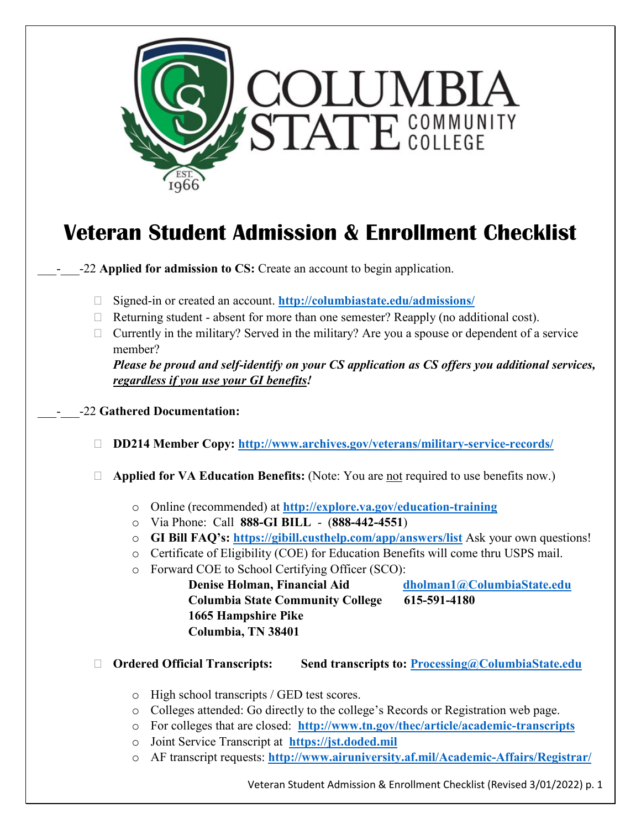

# **Veteran Student Admission & Enrollment Checklist**

\_\_\_-\_\_\_-22 **Applied for admission to CS:** Create an account to begin application.

- Signed-in or created an account. **<http://columbiastate.edu/admissions/>**
- $\Box$  Returning student absent for more than one semester? Reapply (no additional cost).
- $\Box$  Currently in the military? Served in the military? Are you a spouse or dependent of a service member?

*Please be proud and self-identify on your CS application as CS offers you additional services, regardless if you use your GI benefits!*

- \_\_\_-\_\_\_-22 **Gathered Documentation:**
	- **DD214 Member Copy: <http://www.archives.gov/veterans/military-service-records/>**
	- **Applied for VA Education Benefits:** (Note: You are not required to use benefits now.)
		- o Online (recommended) at **<http://explore.va.gov/education-training>**
		- o Via Phone: Call **888-GI BILL** (**888-442-4551**)
		- o **GI Bill FAQ's:<https://gibill.custhelp.com/app/answers/list>** Ask your own questions!
		- o Certificate of Eligibility (COE) for Education Benefits will come thru USPS mail.
		- o Forward COE to School Certifying Officer (SCO):

**Denise Holman, Financial Aid [dholman1@ColumbiaState.edu](mailto:dholman1@ColumbiaState.edu) Columbia State Community College 615-591-4180 1665 Hampshire Pike Columbia, TN 38401**

- **Ordered Official Transcripts: Send transcripts to: [Processing@ColumbiaState.edu](mailto:Processing@ColumbiaState.edu)**
	- o High school transcripts / GED test scores.
	- o Colleges attended: Go directly to the college's Records or Registration web page.
	- o For colleges that are closed: **<http://www.tn.gov/thec/article/academic-transcripts>**
	- o Joint Service Transcript at **[https://jst.doded.mil](https://jst.doded.mil/)**
	- o AF transcript requests: **<http://www.airuniversity.af.mil/Academic-Affairs/Registrar/>**

Veteran Student Admission & Enrollment Checklist (Revised 3/01/2022) p. 1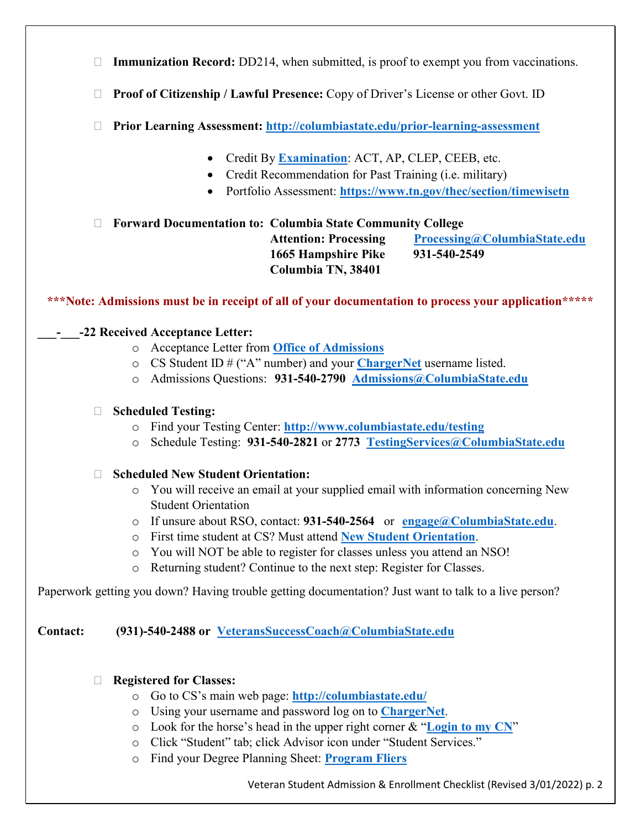- □ Immunization Record: DD214, when submitted, is proof to exempt you from vaccinations.
- **Proof of Citizenship / Lawful Presence:** Copy of Driver's License or other Govt. ID
- **Prior Learning Assessment: <http://columbiastate.edu/prior-learning-assessment>**
	- Credit By **[Examination](http://columbiastate.edu/testing)**: ACT, AP, CLEP, CEEB, etc.
	- Credit Recommendation for Past Training (i.e. military)
	- Portfolio Assessment: **<https://www.tn.gov/thec/section/timewisetn>**

# **Forward Documentation to: Columbia State Community College**

 **1665 Hampshire Pike 931-540-2549 Columbia TN, 38401**

**Attention: Processing [Processing@ColumbiaState.edu](mailto:Processing@ColumbiaState.edu)** 

# **\*\*\*Note: Admissions must be in receipt of all of your documentation to process your application\*\*\*\*\***

## **\_\_\_-\_\_\_-22 Received Acceptance Letter:**

- o Acceptance Letter from **[Office of Admissions](mailto:Admissions@ColumbiaState.edu)**
- o CS Student ID # ("A" number) and your **[ChargerNet](http://chargernet.columbiastate.edu/cp/home/loginf)** username listed.
- o Admissions Questions: **931-540-2790 [Admissions@ColumbiaState.edu](mailto:Admissions@ColumbiaState.edu)**

### **Scheduled Testing:**

- o Find your Testing Center: **<http://www.columbiastate.edu/testing>**
- o Schedule Testing: **931-540-2821** or **2773 [TestingServices@ColumbiaState.edu](mailto:TestingServices@ColumbiaState.edu)**

#### **Scheduled New Student Orientation:**

- o You will receive an email at your supplied email with information concerning New Student Orientation
- o If unsure about RSO, contact: **931-540-2564** or **[engage@ColumbiaState.edu](mailto:engage@ColumbiaState.edu)**.
- o First time student at CS? Must attend **[New Student](http://columbiastate.edu/admissions/orientation) Orientation**.
- o You will NOT be able to register for classes unless you attend an NSO!
- o Returning student? Continue to the next step: Register for Classes.

Paperwork getting you down? Having trouble getting documentation? Just want to talk to a live person?

**Contact: (931)-540-2488 or [VeteransSuccessCoach@ColumbiaState.edu](mailto:VeteransSuccessCoach@ColumbiaState.edu)**

#### **Registered for Classes:**

- o Go to CS's main web page: **<http://columbiastate.edu/>**
- o Using your username and password log on to **[ChargerNet](http://chargernet.columbiastate.edu/cp/home/loginf)**.
- o Look for the horse's head in the upper right corner & "**[Login to my CN](http://chargernet.columbiastate.edu/cp/home/loginf)**"
- o Click "Student" tab; click Advisor icon under "Student Services."
- o Find your Degree Planning Sheet: **[Program Fliers](http://www.columbiastate.edu/catalog-student-handbook/2014-2015-program-fliers)**

Veteran Student Admission & Enrollment Checklist (Revised 3/01/2022) p. 2